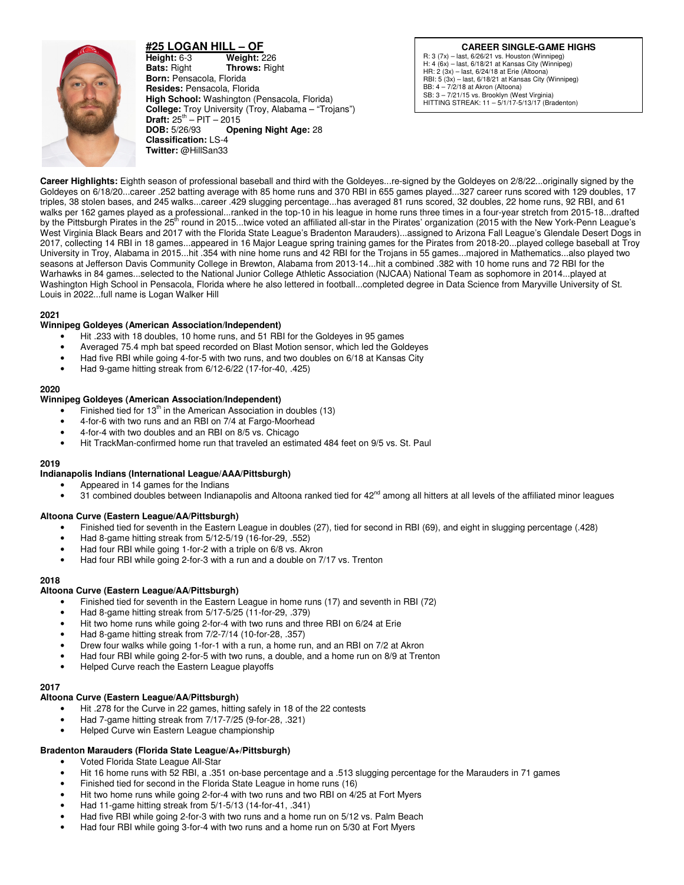

**#25 LOGAN HILL – OF Height:** 6-3 **Weight:** 226 **Bats:** Right **Throws:** Rig **Bats:** Right **Throws:** Right **Born:** Pensacola, Florida **Resides:** Pensacola, Florida **High School:** Washington (Pensacola, Florida) **College:** Troy University (Troy, Alabama – "Trojans") **Draft:** 25<sup>th</sup> – PIT – 2015<br>**DOB:** 5/26/93 **Ope Opening Night Age: 28 Classification:** LS-4 **Twitter:** @HillSan33

**CAREER SINGLE-GAME HIGHS** R: 3 (7x) – last, 6/26/21 vs. Houston (Winnipeg) H: 4 (6x) – last, 6/18/21 at Kansas City (Winnipeg) HR: 2 (3x) – last, 6/24/18 at Erie (Altoona) RBI: 5 (3x) – last, 6/18/21 at Kansas City (Winnipeg) BB: 4 – 7/2/18 at Akron (Altoona) SB: 3 – 7/21/15 vs. Brooklyn (West Virginia) HITTING STREAK: 11 – 5/1/17-5/13/17 (Bradenton)

**Career Highlights:** Eighth season of professional baseball and third with the Goldeyes...re-signed by the Goldeyes on 2/8/22...originally signed by the Goldeyes on 6/18/20...career .252 batting average with 85 home runs and 370 RBI in 655 games played...327 career runs scored with 129 doubles, 17 triples, 38 stolen bases, and 245 walks...career .429 slugging percentage...has averaged 81 runs scored, 32 doubles, 22 home runs, 92 RBI, and 61 walks per 162 games played as a professional...ranked in the top-10 in his league in home runs three times in a four-year stretch from 2015-18...drafted by the Pittsburgh Pirates in the 25<sup>th</sup> round in 2015...twice voted an affiliated all-star in the Pirates' organization (2015 with the New York-Penn League's West Virginia Black Bears and 2017 with the Florida State League's Bradenton Marauders)...assigned to Arizona Fall League's Glendale Desert Dogs in 2017, collecting 14 RBI in 18 games...appeared in 16 Major League spring training games for the Pirates from 2018-20...played college baseball at Troy University in Troy, Alabama in 2015...hit .354 with nine home runs and 42 RBI for the Trojans in 55 games...majored in Mathematics...also played two seasons at Jefferson Davis Community College in Brewton, Alabama from 2013-14...hit a combined .382 with 10 home runs and 72 RBI for the Warhawks in 84 games...selected to the National Junior College Athletic Association (NJCAA) National Team as sophomore in 2014...played at Washington High School in Pensacola, Florida where he also lettered in football...completed degree in Data Science from Maryville University of St. Louis in 2022...full name is Logan Walker Hill

### **2021**

## **Winnipeg Goldeyes (American Association/Independent)**

- Hit .233 with 18 doubles, 10 home runs, and 51 RBI for the Goldeyes in 95 games
- Averaged 75.4 mph bat speed recorded on Blast Motion sensor, which led the Goldeyes
- Had five RBI while going 4-for-5 with two runs, and two doubles on 6/18 at Kansas City
- Had 9-game hitting streak from 6/12-6/22 (17-for-40, .425)

## **2020**

## **Winnipeg Goldeyes (American Association/Independent)**

- Finished tied for  $13<sup>th</sup>$  in the American Association in doubles (13)
- 4-for-6 with two runs and an RBI on 7/4 at Fargo-Moorhead
- 4-for-4 with two doubles and an RBI on 8/5 vs. Chicago
- Hit TrackMan-confirmed home run that traveled an estimated 484 feet on 9/5 vs. St. Paul

### **2019**

## **Indianapolis Indians (International League/AAA/Pittsburgh)**

- Appeared in 14 games for the Indians
- 31 combined doubles between Indianapolis and Altoona ranked tied for  $42<sup>nd</sup>$  among all hitters at all levels of the affiliated minor leagues

### **Altoona Curve (Eastern League/AA/Pittsburgh)**

- Finished tied for seventh in the Eastern League in doubles (27), tied for second in RBI (69), and eight in slugging percentage (.428)
- Had 8-game hitting streak from 5/12-5/19 (16-for-29, .552)
- Had four RBI while going 1-for-2 with a triple on 6/8 vs. Akron
- Had four RBI while going 2-for-3 with a run and a double on 7/17 vs. Trenton

### **2018**

### **Altoona Curve (Eastern League/AA/Pittsburgh)**

- Finished tied for seventh in the Eastern League in home runs (17) and seventh in RBI (72)
- Had 8-game hitting streak from 5/17-5/25 (11-for-29, .379)
- Hit two home runs while going 2-for-4 with two runs and three RBI on 6/24 at Erie
- Had 8-game hitting streak from 7/2-7/14 (10-for-28, .357)
- Drew four walks while going 1-for-1 with a run, a home run, and an RBI on 7/2 at Akron
- Had four RBI while going 2-for-5 with two runs, a double, and a home run on 8/9 at Trenton
- Helped Curve reach the Eastern League playoffs

#### **2017**

- **Altoona Curve (Eastern League/AA/Pittsburgh)** 
	- Hit .278 for the Curve in 22 games, hitting safely in 18 of the 22 contests
	- Had 7-game hitting streak from 7/17-7/25 (9-for-28, .321)
	- Helped Curve win Eastern League championship

### **Bradenton Marauders (Florida State League/A+/Pittsburgh)**

- Voted Florida State League All-Star
- Hit 16 home runs with 52 RBI, a .351 on-base percentage and a .513 slugging percentage for the Marauders in 71 games
- Finished tied for second in the Florida State League in home runs (16)
- Hit two home runs while going 2-for-4 with two runs and two RBI on 4/25 at Fort Myers
- Had 11-game hitting streak from 5/1-5/13 (14-for-41, .341)
- Had five RBI while going 2-for-3 with two runs and a home run on 5/12 vs. Palm Beach
- Had four RBI while going 3-for-4 with two runs and a home run on 5/30 at Fort Myers